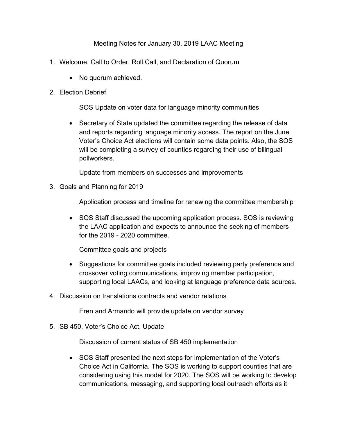Meeting Notes for January 30, 2019 LAAC Meeting

- 1. Welcome, Call to Order, Roll Call, and Declaration of Quorum
	- No quorum achieved.

## 2. Election Debrief

SOS Update on voter data for language minority communities

• Secretary of State updated the committee regarding the release of data and reports regarding language minority access. The report on the June Voter's Choice Act elections will contain some data points. Also, the SOS will be completing a survey of counties regarding their use of bilingual pollworkers.

Update from members on successes and improvements

3. Goals and Planning for 2019

Application process and timeline for renewing the committee membership

• SOS Staff discussed the upcoming application process. SOS is reviewing the LAAC application and expects to announce the seeking of members for the 2019 - 2020 committee.

Committee goals and projects

- Suggestions for committee goals included reviewing party preference and crossover voting communications, improving member participation, supporting local LAACs, and looking at language preference data sources.
- 4. Discussion on translations contracts and vendor relations

Eren and Armando will provide update on vendor survey

5. SB 450, Voter's Choice Act, Update

Discussion of current status of SB 450 implementation

• SOS Staff presented the next steps for implementation of the Voter's Choice Act in California. The SOS is working to support counties that are considering using this model for 2020. The SOS will be working to develop communications, messaging, and supporting local outreach efforts as it